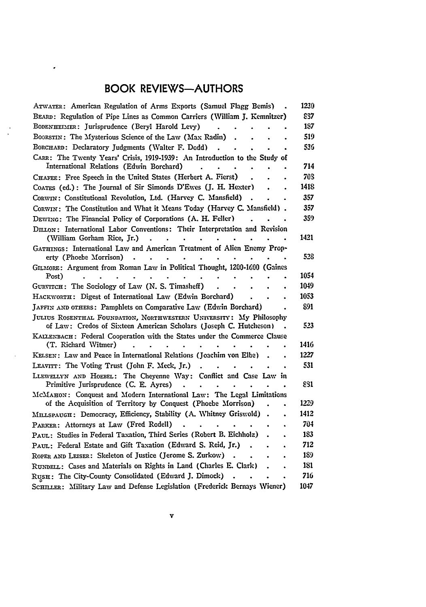## BOOK REVIEWS-AUTHORS

 $\overline{a}$ 

| ATWATER: American Regulation of Arms Exports (Samuel Flagg Bemis)                                                                        | 1230 |
|------------------------------------------------------------------------------------------------------------------------------------------|------|
| BEARD: Regulation of Pipe Lines as Common Carriers (William J. Kemnitzer)                                                                | 837  |
| BODENHEIMER: Jurisprudence (Beryl Harold Levy)                                                                                           | 187  |
| BOORSTIN: The Mysterious Science of the Law (Max Radin)                                                                                  | 519  |
| BORCHARD: Declaratory Judgments (Walter F. Dodd)                                                                                         | 536  |
| CARR: The Twenty Years' Crisis, 1919-1939: An Introduction to the Study of                                                               |      |
| International Relations (Edwin Borchard)                                                                                                 | 714  |
| CHAFEE: Free Speech in the United States (Herbert A. Fierst)                                                                             | 70S  |
| COATES (ed.): The Journal of Sir Simonds D'Ewes (J. H. Hexter)                                                                           | 1418 |
| CORWIN: Constitutional Revolution, Ltd. (Harvey C. Mansfield)                                                                            | 357  |
| CORWIN: The Constitution and What it Means Today (Harvey C. Mansfield).                                                                  | 357  |
| DEWING: The Financial Policy of Corporations (A. H. Feller)                                                                              | 359  |
| DILLON: International Labor Conventions: Their Interpretation and Revision                                                               |      |
| (William Gorham Rice, Jr.)                                                                                                               | 1421 |
| GATHINGS: International Law and American Treatment of Alien Enemy Prop-                                                                  |      |
| erty (Phoebe Morrison)                                                                                                                   | 528  |
| GILMORE: Argument from Roman Law in Political Thought, 1200-1600 (Gaines                                                                 |      |
| Post)                                                                                                                                    | 1054 |
| GURVITCH: The Sociology of Law (N. S. Timasheff)                                                                                         | 1049 |
| HACKWORTH: Digest of International Law (Edwin Borchard)                                                                                  | 1053 |
| JAFFIN AND OTHERS: Pamphlets on Comparative Law (Edwin Borchard)                                                                         | 891  |
| JULIUS ROSENTHAL FOUNDATION, NORTHWESTERN UNIVERSITY: My Philosophy<br>of Law: Credos of Sixteen American Scholars (Joseph C. Hutcheson) | 523  |
| KALLENBACH: Federal Cooperation with the States under the Commerce Clause                                                                |      |
| (T. Richard Witmer)                                                                                                                      | 1416 |
| KELSEN: Law and Peace in International Relations (Joachim von Elbe)                                                                      | 1227 |
| LEAVITT: The Voting Trust (John F. Meck, Jr.)                                                                                            | 531  |
| LLEWELLYN AND HOEBEL: The Chevenne Way: Conflict and Case Law in                                                                         |      |
| Primitive Jurisprudence (C. E. Ayres)                                                                                                    | 831  |
| McМАном: Conquest and Modern International Law: The Legal Limitations                                                                    |      |
| of the Acquisition of Territory by Conquest (Phoebe Morrison)<br>$\bullet$                                                               | 1229 |
| MILLSPAUGH: Democracy, Efficiency, Stability (A. Whitney Griswold)                                                                       | 1412 |
| PARKER: Attorneys at Law (Fred Rodell)                                                                                                   | 704  |
| PAUL: Studies in Federal Taxation, Third Series (Robert B. Eichholz)                                                                     | 183  |
| PAUL: Federal Estate and Gift Taxation (Edward S. Reid, Jr.)                                                                             | 712  |
| ROPER AND LEISER: Skeleton of Justice (Jerome S. Zurkow)                                                                                 | 189  |
| RUNDELL: Cases and Materials on Rights in Land (Charles E. Clark)                                                                        | 181  |
| RUSH: The City-County Consolidated (Edward J. Dimock)                                                                                    | 716  |
| SCHILLER: Military Law and Defense Legislation (Frederick Bernays Wiener)                                                                | 1047 |